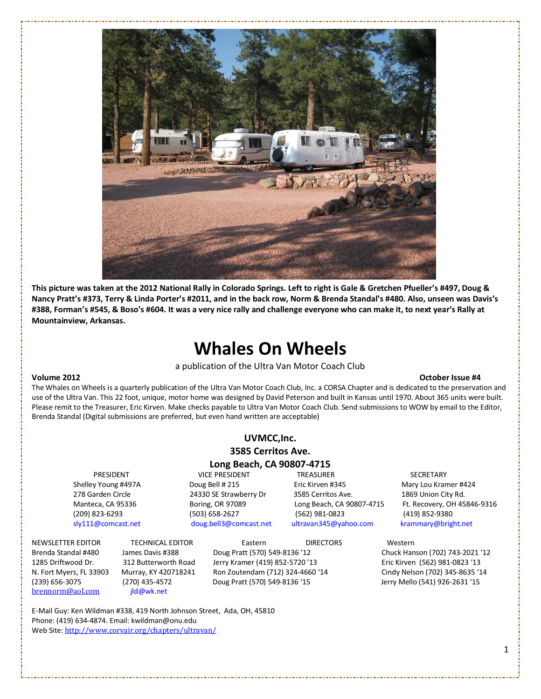

This picture was taken at the 2012 National Rally in Colorado Springs. Left to right is Gale & Gretchen Pfueller's #497, Doug & Nancy Pratt's #373, Terry & Linda Porter's #2011, and in the back row, Norm & Brenda Standal's #480. Also, unseen was Davis's #388, Forman's #545, & Boso's #604. It was a very nice rally and challenge everyone who can make it, to next year's Rally at Mountainview, Arkansas.

# Whales On Wheels

a publication of the Ultra Van Motor Coach Club

#### Volume 2012 October Issue #4

The Whales on Wheels is a quarterly publication of the Ultra Van Motor Coach Club, Inc. a CORSA Chapter and is dedicated to the preservation and use of the Ultra Van. This 22 foot, unique, motor home was designed by David Peterson and built in Kansas until 1970. About 365 units were built. Please remit to the Treasurer, Eric Kirven. Make checks payable to Ultra Van Motor Coach Club. Send submissions to WOW by email to the Editor, Brenda Standal (Digital submissions are preferred, but even hand written are acceptable)

#### UVMCC,Inc. 3585 Cerritos Ave.

#### Long Beach, CA 90807-4715

sly111@comcast.net doug.bell3@comcast.net [ultravan345@yahoo.com](mailto:ultravan345@yahoo.com) krammary@bright.net

PRESIDENT VICE PRESIDENT TREASURER SECRETARY Shelley Young #497A **Doug Bell # 215** Eric Kirven #345 Mary Lou Kramer #424 278 Garden Circle 24330 SE Strawberry Dr 3585 Cerritos Ave. 1869 Union City Rd. (209) 823-6293 (503) 658-2627 (562) 981-0823 (419) 852-9380

Manteca, CA 95336 Boring, OR 97089 Long Beach, CA 90807-4715 Ft. Recovery, OH 45846-9316

brennorm@aol.com [jld@wk.net](mailto:brennorm@aol.com)

NEWSLETTER EDITOR TECHNICAL EDITOR Eastern DIRECTORS Western Brenda Standal #480 James Davis #388 Doug Pratt (570) 549-8136 '12 Chuck Hanson (702) 743-2021 '12 1285 Driftwood Dr. 312 Butterworth Road Jerry Kramer (419) 852-5720 '13 Eric Kirven (562) 981-0823 '13 N. Fort Myers, FL 33903 Murray, KY 420718241 Ron Zoutendam (712) 324-4660 '14 Cindy Nelson (702) 345-8635 '14 (239) 656-3075 (270) 435-4572 Doug Pratt (570) 549-8136 '15 Jerry Mello (541) 926-2631 '15

E-Mail Guy: Ken Wildman #338, 419 North Johnson Street, Ada, OH, 45810 Phone: (419) 634-4874. Email: kwildman@onu.edu Web Site: <http://www.corvair.org/chapters/ultravan/>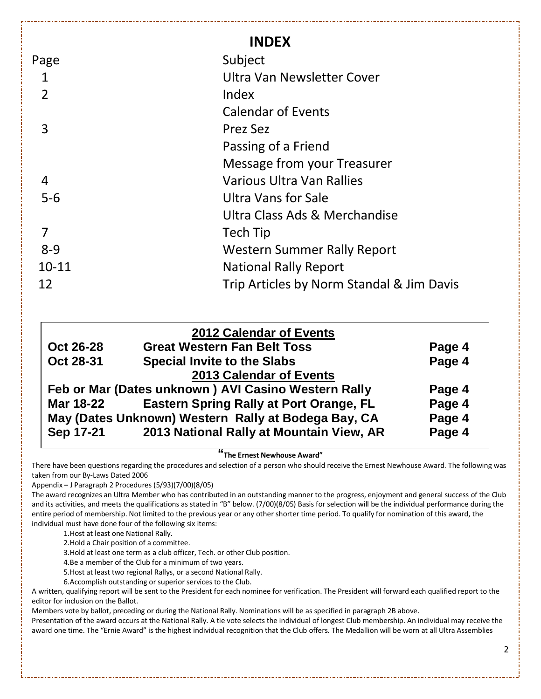|                | <b>INDEX</b>                              |
|----------------|-------------------------------------------|
| Page           | Subject                                   |
| 1              | Ultra Van Newsletter Cover                |
| $\overline{2}$ | Index                                     |
|                | <b>Calendar of Events</b>                 |
| 3              | Prez Sez                                  |
|                | Passing of a Friend                       |
|                | Message from your Treasurer               |
| 4              | Various Ultra Van Rallies                 |
| $5-6$          | Ultra Vans for Sale                       |
|                | Ultra Class Ads & Merchandise             |
| 7              | Tech Tip                                  |
| $8 - 9$        | <b>Western Summer Rally Report</b>        |
| $10 - 11$      | <b>National Rally Report</b>              |
| 12             | Trip Articles by Norm Standal & Jim Davis |

|                                                     | <b>2012 Calendar of Events</b>                 |        |
|-----------------------------------------------------|------------------------------------------------|--------|
| <b>Oct 26-28</b>                                    | <b>Great Western Fan Belt Toss</b>             | Page 4 |
| Oct 28-31                                           | <b>Special Invite to the Slabs</b>             | Page 4 |
|                                                     | 2013 Calendar of Events                        |        |
| Feb or Mar (Dates unknown) AVI Casino Western Rally |                                                | Page 4 |
| Mar 18-22                                           | <b>Eastern Spring Rally at Port Orange, FL</b> | Page 4 |
| May (Dates Unknown) Western Rally at Bodega Bay, CA |                                                | Page 4 |
| Sep 17-21                                           | 2013 National Rally at Mountain View, AR       | Page 4 |

#### **"**The Ernest Newhouse Award"

There have been questions regarding the procedures and selection of a person who should receive the Ernest Newhouse Award. The following was taken from our By-Laws Dated 2006

Appendix – J Paragraph 2 Procedures (5/93)(7/00)(8/05)

The award recognizes an Ultra Member who has contributed in an outstanding manner to the progress, enjoyment and general success of the Club and its activities, and meets the qualifications as stated in "B" below. (7/00)(8/05) Basis for selection will be the individual performance during the entire period of membership. Not limited to the previous year or any other shorter time period. To qualify for nomination of this award, the individual must have done four of the following six items:

1.Host at least one National Rally.

2.Hold a Chair position of a committee.

3.Hold at least one term as a club officer, Tech. or other Club position.

4.Be a member of the Club for a minimum of two years.

5.Host at least two regional Rallys, or a second National Rally.

6.Accomplish outstanding or superior services to the Club.

A written, qualifying report will be sent to the President for each nominee for verification. The President will forward each qualified report to the editor for inclusion on the Ballot.

Members vote by ballot, preceding or during the National Rally. Nominations will be as specified in paragraph 2B above.

Presentation of the award occurs at the National Rally. A tie vote selects the individual of longest Club membership. An individual may receive the award one time. The "Ernie Award" is the highest individual recognition that the Club offers. The Medallion will be worn at all Ultra Assemblies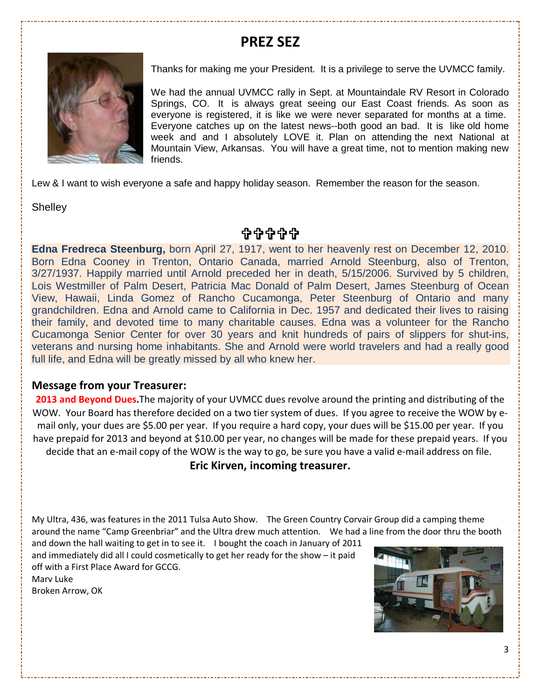## PREZ SEZ



Thanks for making me your President. It is a privilege to serve the UVMCC family.

We had the annual UVMCC rally in Sept. at Mountaindale RV Resort in Colorado Springs, CO. It is always great seeing our East Coast friends. As soon as everyone is registered, it is like we were never separated for months at a time. Everyone catches up on the latest news--both good an bad. It is like old home week and and I absolutely LOVE it. Plan on attending the next National at Mountain View, Arkansas. You will have a great time, not to mention making new friends.

Lew & I want to wish everyone a safe and happy holiday season. Remember the reason for the season.

**Shelley** 

**÷÷++** 

**Edna Fredreca Steenburg,** born April 27, 1917, went to her heavenly rest on December 12, 2010. Born Edna Cooney in Trenton, Ontario Canada, married Arnold Steenburg, also of Trenton, 3/27/1937. Happily married until Arnold preceded her in death, 5/15/2006. Survived by 5 children, Lois Westmiller of Palm Desert, Patricia Mac Donald of Palm Desert, James Steenburg of Ocean View, Hawaii, Linda Gomez of Rancho Cucamonga, Peter Steenburg of Ontario and many grandchildren. Edna and Arnold came to California in Dec. 1957 and dedicated their lives to raising their family, and devoted time to many charitable causes. Edna was a volunteer for the Rancho Cucamonga Senior Center for over 30 years and knit hundreds of pairs of slippers for shut-ins, veterans and nursing home inhabitants. She and Arnold were world travelers and had a really good full life, and Edna will be greatly missed by all who knew her.

#### Message from your Treasurer:

2013 and Beyond Dues. The majority of your UVMCC dues revolve around the printing and distributing of the WOW. Your Board has therefore decided on a two tier system of dues. If you agree to receive the WOW by email only, your dues are \$5.00 per year. If you require a hard copy, your dues will be \$15.00 per year. If you have prepaid for 2013 and beyond at \$10.00 per year, no changes will be made for these prepaid years. If you decide that an e-mail copy of the WOW is the way to go, be sure you have a valid e-mail address on file.

Eric Kirven, incoming treasurer.

My Ultra, 436, was features in the 2011 Tulsa Auto Show. The Green Country Corvair Group did a camping theme around the name "Camp Greenbriar" and the Ultra drew much attention. We had a line from the door thru the booth

and down the hall waiting to get in to see it. I bought the coach in January of 2011 and immediately did all I could cosmetically to get her ready for the show – it paid off with a First Place Award for GCCG.

Marv Luke Broken Arrow, OK

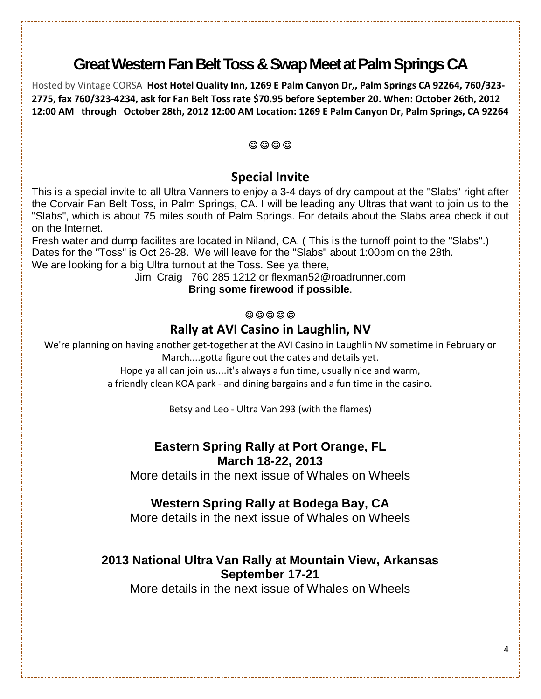# **Great Western Fan Belt Toss & Swap Meet at Palm Springs CA**

Hosted by Vintage CORSA Host Hotel Quality Inn, 1269 E Palm Canyon Dr,, Palm Springs CA 92264, 760/323-2775, fax 760/323-4234, ask for Fan Belt Toss rate \$70.95 before September 20. When: October 26th, 2012 12:00 AM through October 28th, 2012 12:00 AM Location: 1269 E Palm Canyon Dr, Palm Springs, CA 92264

#### ☺ ☺ ☺ ☺

#### Special Invite

This is a special invite to all Ultra Vanners to enjoy a 3-4 days of dry campout at the "Slabs" right after the Corvair Fan Belt Toss, in Palm Springs, CA. I will be leading any Ultras that want to join us to the "Slabs", which is about 75 miles south of Palm Springs. For details about the Slabs area check it out on the Internet.

Fresh water and dump facilites are located in Niland, CA. ( This is the turnoff point to the "Slabs".) Dates for the "Toss" is Oct 26-28. We will leave for the "Slabs" about 1:00pm on the 28th. We are looking for a big Ultra turnout at the Toss. See ya there,

Jim Craig 760 285 1212 or flexman52@roadrunner.com

**Bring some firewood if possible**.

#### $@@@@@$

### Rally at AVI Casino in Laughlin, NV

We're planning on having another get-together at the AVI Casino in Laughlin NV sometime in February or March....gotta figure out the dates and details yet.

Hope ya all can join us....it's always a fun time, usually nice and warm,

a friendly clean KOA park - and dining bargains and a fun time in the casino.

Betsy and Leo - Ultra Van 293 (with the flames)

# **Eastern Spring Rally at Port Orange, FL**

**March 18-22, 2013** 

More details in the next issue of Whales on Wheels

### **Western Spring Rally at Bodega Bay, CA**

More details in the next issue of Whales on Wheels

#### **2013 National Ultra Van Rally at Mountain View, Arkansas September 17-21**

More details in the next issue of Whales on Wheels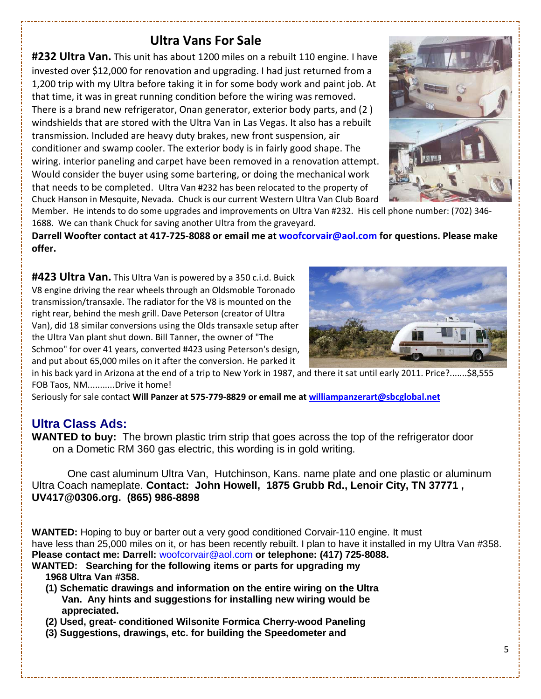### Ultra Vans For Sale

**#232 Ultra Van.** This unit has about 1200 miles on a rebuilt 110 engine. I have invested over \$12,000 for renovation and upgrading. I had just returned from a 1,200 trip with my Ultra before taking it in for some body work and paint job. At that time, it was in great running condition before the wiring was removed. There is a brand new refrigerator, Onan generator, exterior body parts, and (2 ) windshields that are stored with the Ultra Van in Las Vegas. It also has a rebuilt transmission. Included are heavy duty brakes, new front suspension, air conditioner and swamp cooler. The exterior body is in fairly good shape. The wiring. interior paneling and carpet have been removed in a renovation attempt. Would consider the buyer using some bartering, or doing the mechanical work that needs to be completed. Ultra Van #232 has been relocated to the property of Chuck Hanson in Mesquite, Nevada. Chuck is our current Western Ultra Van Club Board



Member. He intends to do some upgrades and improvements on Ultra Van #232. His cell phone number: (702) 346- 1688. We can thank Chuck for saving another Ultra from the graveyard.

Darrell Woofter contact at 417-725-8088 or email me at woofcorvair@aol.com for questions. Please make offer.

#423 Ultra Van. This Ultra Van is powered by a 350 c.i.d. Buick V8 engine driving the rear wheels through an Oldsmoble Toronado transmission/transaxle. The radiator for the V8 is mounted on the right rear, behind the mesh grill. Dave Peterson (creator of Ultra Van), did 18 similar conversions using the Olds transaxle setup after the Ultra Van plant shut down. Bill Tanner, the owner of "The Schmoo" for over 41 years, converted #423 using Peterson's design, and put about 65,000 miles on it after the conversion. He parked it



in his back yard in Arizona at the end of a trip to New York in 1987, and there it sat until early 2011. Price?.......\$8,555 FOB Taos, NM...........Drive it home!

Seriously for sale contact Will Panzer at 575-779-8829 or email me at [williampanzerart@sbcglobal.net](mailto:williampanzerart@sbcglobal.net)

### **Ultra Class Ads:**

**WANTED to buy:** The brown plastic trim strip that goes across the top of the refrigerator door on a Dometic RM 360 gas electric, this wording is in gold writing.

 One cast aluminum Ultra Van, Hutchinson, Kans. name plate and one plastic or aluminum Ultra Coach nameplate. **Contact: John Howell, 1875 Grubb Rd., Lenoir City, TN 37771 , UV417@0306.org. (865) 986-8898** 

**WANTED:** Hoping to buy or barter out a very good conditioned Corvair-110 engine. It must have less than 25,000 miles on it, or has been recently rebuilt. I plan to have it installed in my Ultra Van #358. **Please contact me: Darrell:** woofcorvair@aol.com **or telephone: (417) 725-8088.**

- **WANTED: Searching for the following items or parts for upgrading my 1968 Ultra Van #358.** 
	- **(1) Schematic drawings and information on the entire wiring on the Ultra Van. Any hints and suggestions for installing new wiring would be appreciated.**
	- **(2) Used, great- conditioned Wilsonite Formica Cherry-wood Paneling**
	- **(3) Suggestions, drawings, etc. for building the Speedometer and**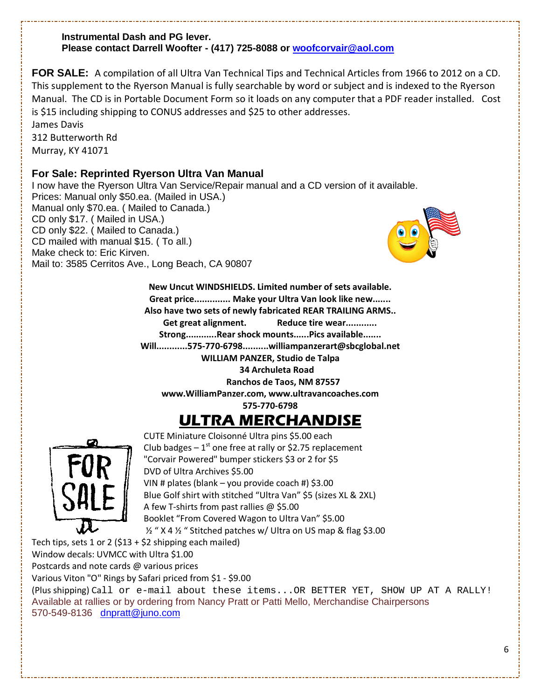#### **Instrumental Dash and PG lever. Please contact Darrell Woofter - (417) 725-8088 or [woofcorvair@aol.com](mailto:woofcorvair@aol.com)**

**FOR SALE:** A compilation of all Ultra Van Technical Tips and Technical Articles from 1966 to 2012 on a CD. This supplement to the Ryerson Manual is fully searchable by word or subject and is indexed to the Ryerson Manual. The CD is in Portable Document Form so it loads on any computer that a PDF reader installed. Cost is \$15 including shipping to CONUS addresses and \$25 to other addresses.

James Davis 312 Butterworth Rd Murray, KY 41071

#### **For Sale: Reprinted Ryerson Ultra Van Manual**

I now have the Ryerson Ultra Van Service/Repair manual and a CD version of it available. Prices: Manual only \$50.ea. (Mailed in USA.) Manual only \$70.ea. ( Mailed to Canada.) CD only \$17. ( Mailed in USA.) CD only \$22. ( Mailed to Canada.) CD mailed with manual \$15. ( To all.) Make check to: Eric Kirven. Mail to: 3585 Cerritos Ave., Long Beach, CA 90807



New Uncut WINDSHIELDS. Limited number of sets available. Great price.............. Make your Ultra Van look like new....... Also have two sets of newly fabricated REAR TRAILING ARMS.. Get great alignment. Reduce tire wear............. Strong............Rear shock mounts......Pics available....... Will............575-770-6798..........williampanzerart@sbcglobal.net WILLIAM PANZER, Studio de Talpa 34 Archuleta Road

Ranchos de Taos, NM 87557

www.WilliamPanzer.com, www.ultravancoaches.com

575-770-6798

# ULTRA MERCHANDISE



CUTE Miniature Cloisonné Ultra pins \$5.00 each Club badges  $-1^{st}$  one free at rally or \$2.75 replacement "Corvair Powered" bumper stickers \$3 or 2 for \$5 DVD of Ultra Archives \$5.00 VIN # plates (blank – you provide coach #) \$3.00 Blue Golf shirt with stitched "Ultra Van" \$5 (sizes XL & 2XL) A few T-shirts from past rallies @ \$5.00 Booklet "From Covered Wagon to Ultra Van" \$5.00 ½ " X 4 ½ " Stitched patches w/ Ultra on US map & flag \$3.00

Tech tips, sets 1 or 2 (\$13 + \$2 shipping each mailed)

Window decals: UVMCC with Ultra \$1.00

Postcards and note cards @ various prices

Various Viton "O" Rings by Safari priced from \$1 - \$9.00

(Plus shipping) Call or e-mail about these items...OR BETTER YET, SHOW UP AT A RALLY! Available at rallies or by ordering from Nancy Pratt or Patti Mello, Merchandise Chairpersons 570-549-8136 [dnpratt@juno.com](mailto:dnpratt@juno.com)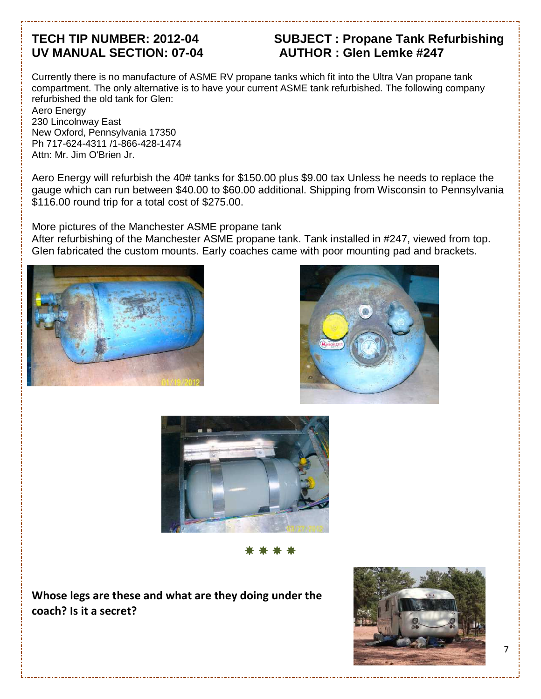# **UV MANUAL SECTION: 07-04 AUTHOR : Glen Lemke #247**

# **TECH TIP NUMBER: 2012-04 SUBJECT : Propane Tank Refurbishing**

Currently there is no manufacture of ASME RV propane tanks which fit into the Ultra Van propane tank compartment. The only alternative is to have your current ASME tank refurbished. The following company refurbished the old tank for Glen:

Aero Energy 230 Lincolnway East New Oxford, Pennsylvania 17350 Ph 717-624-4311 /1-866-428-1474 Attn: Mr. Jim O'Brien Jr.

Aero Energy will refurbish the 40# tanks for \$150.00 plus \$9.00 tax Unless he needs to replace the gauge which can run between \$40.00 to \$60.00 additional. Shipping from Wisconsin to Pennsylvania \$116.00 round trip for a total cost of \$275.00.

More pictures of the Manchester ASME propane tank

After refurbishing of the Manchester ASME propane tank. Tank installed in #247, viewed from top. Glen fabricated the custom mounts. Early coaches came with poor mounting pad and brackets.







\*\*\*\*

Whose legs are these and what are they doing under the coach? Is it a secret?

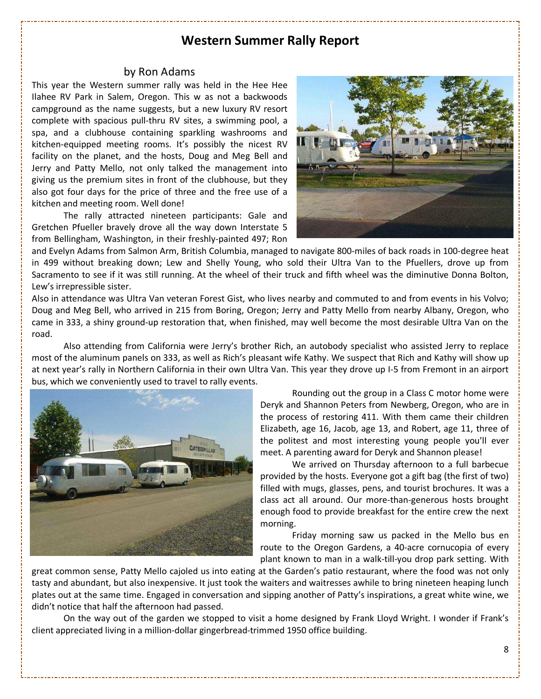#### Western Summer Rally Report

#### by Ron Adams

This year the Western summer rally was held in the Hee Hee Ilahee RV Park in Salem, Oregon. This w as not a backwoods campground as the name suggests, but a new luxury RV resort complete with spacious pull-thru RV sites, a swimming pool, a spa, and a clubhouse containing sparkling washrooms and kitchen-equipped meeting rooms. It's possibly the nicest RV facility on the planet, and the hosts, Doug and Meg Bell and Jerry and Patty Mello, not only talked the management into giving us the premium sites in front of the clubhouse, but they also got four days for the price of three and the free use of a kitchen and meeting room. Well done!

 The rally attracted nineteen participants: Gale and Gretchen Pfueller bravely drove all the way down Interstate 5 from Bellingham, Washington, in their freshly-painted 497; Ron



and Evelyn Adams from Salmon Arm, British Columbia, managed to navigate 800-miles of back roads in 100-degree heat in 499 without breaking down; Lew and Shelly Young, who sold their Ultra Van to the Pfuellers, drove up from Sacramento to see if it was still running. At the wheel of their truck and fifth wheel was the diminutive Donna Bolton, Lew's irrepressible sister.

Also in attendance was Ultra Van veteran Forest Gist, who lives nearby and commuted to and from events in his Volvo; Doug and Meg Bell, who arrived in 215 from Boring, Oregon; Jerry and Patty Mello from nearby Albany, Oregon, who came in 333, a shiny ground-up restoration that, when finished, may well become the most desirable Ultra Van on the road.

 Also attending from California were Jerry's brother Rich, an autobody specialist who assisted Jerry to replace most of the aluminum panels on 333, as well as Rich's pleasant wife Kathy. We suspect that Rich and Kathy will show up at next year's rally in Northern California in their own Ultra Van. This year they drove up I-5 from Fremont in an airport bus, which we conveniently used to travel to rally events.



 Rounding out the group in a Class C motor home were Deryk and Shannon Peters from Newberg, Oregon, who are in the process of restoring 411. With them came their children Elizabeth, age 16, Jacob, age 13, and Robert, age 11, three of the politest and most interesting young people you'll ever meet. A parenting award for Deryk and Shannon please!

 We arrived on Thursday afternoon to a full barbecue provided by the hosts. Everyone got a gift bag (the first of two) filled with mugs, glasses, pens, and tourist brochures. It was a class act all around. Our more-than-generous hosts brought enough food to provide breakfast for the entire crew the next morning.

 Friday morning saw us packed in the Mello bus en route to the Oregon Gardens, a 40-acre cornucopia of every plant known to man in a walk-till-you drop park setting. With

great common sense, Patty Mello cajoled us into eating at the Garden's patio restaurant, where the food was not only tasty and abundant, but also inexpensive. It just took the waiters and waitresses awhile to bring nineteen heaping lunch plates out at the same time. Engaged in conversation and sipping another of Patty's inspirations, a great white wine, we didn't notice that half the afternoon had passed.

 On the way out of the garden we stopped to visit a home designed by Frank Lloyd Wright. I wonder if Frank's client appreciated living in a million-dollar gingerbread-trimmed 1950 office building.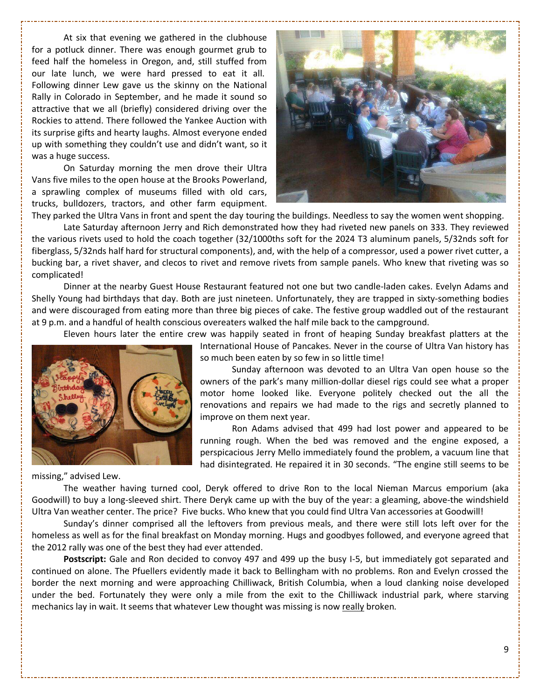At six that evening we gathered in the clubhouse for a potluck dinner. There was enough gourmet grub to feed half the homeless in Oregon, and, still stuffed from our late lunch, we were hard pressed to eat it all. Following dinner Lew gave us the skinny on the National Rally in Colorado in September, and he made it sound so attractive that we all (briefly) considered driving over the Rockies to attend. There followed the Yankee Auction with its surprise gifts and hearty laughs. Almost everyone ended up with something they couldn't use and didn't want, so it was a huge success.

 On Saturday morning the men drove their Ultra Vans five miles to the open house at the Brooks Powerland, a sprawling complex of museums filled with old cars, trucks, bulldozers, tractors, and other farm equipment.



They parked the Ultra Vans in front and spent the day touring the buildings. Needless to say the women went shopping. Late Saturday afternoon Jerry and Rich demonstrated how they had riveted new panels on 333. They reviewed the various rivets used to hold the coach together (32/1000ths soft for the 2024 T3 aluminum panels, 5/32nds soft for fiberglass, 5/32nds half hard for structural components), and, with the help of a compressor, used a power rivet cutter, a bucking bar, a rivet shaver, and clecos to rivet and remove rivets from sample panels. Who knew that riveting was so complicated!

 Dinner at the nearby Guest House Restaurant featured not one but two candle-laden cakes. Evelyn Adams and Shelly Young had birthdays that day. Both are just nineteen. Unfortunately, they are trapped in sixty-something bodies and were discouraged from eating more than three big pieces of cake. The festive group waddled out of the restaurant at 9 p.m. and a handful of health conscious overeaters walked the half mile back to the campground.

Eleven hours later the entire crew was happily seated in front of heaping Sunday breakfast platters at the



missing," advised Lew.

International House of Pancakes. Never in the course of Ultra Van history has so much been eaten by so few in so little time!

 Sunday afternoon was devoted to an Ultra Van open house so the owners of the park's many million-dollar diesel rigs could see what a proper motor home looked like. Everyone politely checked out the all the renovations and repairs we had made to the rigs and secretly planned to improve on them next year.

 Ron Adams advised that 499 had lost power and appeared to be running rough. When the bed was removed and the engine exposed, a perspicacious Jerry Mello immediately found the problem, a vacuum line that had disintegrated. He repaired it in 30 seconds. "The engine still seems to be

 The weather having turned cool, Deryk offered to drive Ron to the local Nieman Marcus emporium (aka Goodwill) to buy a long-sleeved shirt. There Deryk came up with the buy of the year: a gleaming, above-the windshield Ultra Van weather center. The price? Five bucks. Who knew that you could find Ultra Van accessories at Goodwill!

 Sunday's dinner comprised all the leftovers from previous meals, and there were still lots left over for the homeless as well as for the final breakfast on Monday morning. Hugs and goodbyes followed, and everyone agreed that the 2012 rally was one of the best they had ever attended.

Postscript: Gale and Ron decided to convoy 497 and 499 up the busy I-5, but immediately got separated and continued on alone. The Pfuellers evidently made it back to Bellingham with no problems. Ron and Evelyn crossed the border the next morning and were approaching Chilliwack, British Columbia, when a loud clanking noise developed under the bed. Fortunately they were only a mile from the exit to the Chilliwack industrial park, where starving mechanics lay in wait. It seems that whatever Lew thought was missing is now really broken.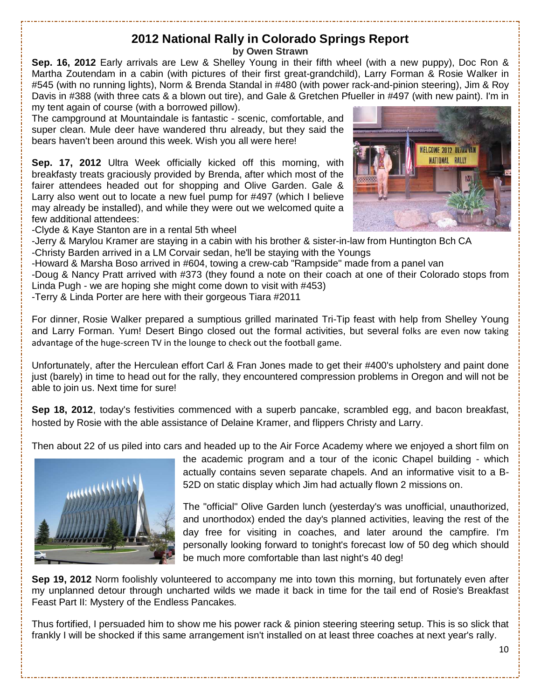# **2012 National Rally in Colorado Springs Report**

**by Owen Strawn** 

**Sep. 16, 2012** Early arrivals are Lew & Shelley Young in their fifth wheel (with a new puppy), Doc Ron & Martha Zoutendam in a cabin (with pictures of their first great-grandchild), Larry Forman & Rosie Walker in #545 (with no running lights), Norm & Brenda Standal in #480 (with power rack-and-pinion steering), Jim & Roy Davis in #388 (with three cats & a blown out tire), and Gale & Gretchen Pfueller in #497 (with new paint). I'm in my tent again of course (with a borrowed pillow).

The campground at Mountaindale is fantastic - scenic, comfortable, and super clean. Mule deer have wandered thru already, but they said the bears haven't been around this week. Wish you all were here!

**Sep. 17, 2012** Ultra Week officially kicked off this morning, with breakfasty treats graciously provided by Brenda, after which most of the fairer attendees headed out for shopping and Olive Garden. Gale & Larry also went out to locate a new fuel pump for #497 (which I believe may already be installed), and while they were out we welcomed quite a few additional attendees:



-Clyde & Kaye Stanton are in a rental 5th wheel

-Jerry & Marylou Kramer are staying in a cabin with his brother & sister-in-law from Huntington Bch CA -Christy Barden arrived in a LM Corvair sedan, he'll be staying with the Youngs

-Howard & Marsha Boso arrived in #604, towing a crew-cab "Rampside" made from a panel van

-Doug & Nancy Pratt arrived with #373 (they found a note on their coach at one of their Colorado stops from Linda Pugh - we are hoping she might come down to visit with #453)

-Terry & Linda Porter are here with their gorgeous Tiara #2011

For dinner, Rosie Walker prepared a sumptious grilled marinated Tri-Tip feast with help from Shelley Young and Larry Forman. Yum! Desert Bingo closed out the formal activities, but several folks are even now taking advantage of the huge-screen TV in the lounge to check out the football game.

Unfortunately, after the Herculean effort Carl & Fran Jones made to get their #400's upholstery and paint done just (barely) in time to head out for the rally, they encountered compression problems in Oregon and will not be able to join us. Next time for sure!

**Sep 18, 2012**, today's festivities commenced with a superb pancake, scrambled egg, and bacon breakfast, hosted by Rosie with the able assistance of Delaine Kramer, and flippers Christy and Larry.

Then about 22 of us piled into cars and headed up to the Air Force Academy where we enjoyed a short film on



the academic program and a tour of the iconic Chapel building - which actually contains seven separate chapels. And an informative visit to a B-52D on static display which Jim had actually flown 2 missions on.

The "official" Olive Garden lunch (yesterday's was unofficial, unauthorized, and unorthodox) ended the day's planned activities, leaving the rest of the day free for visiting in coaches, and later around the campfire. I'm personally looking forward to tonight's forecast low of 50 deg which should be much more comfortable than last night's 40 deg!

**Sep 19, 2012** Norm foolishly volunteered to accompany me into town this morning, but fortunately even after my unplanned detour through uncharted wilds we made it back in time for the tail end of Rosie's Breakfast Feast Part II: Mystery of the Endless Pancakes.

Thus fortified, I persuaded him to show me his power rack & pinion steering steering setup. This is so slick that frankly I will be shocked if this same arrangement isn't installed on at least three coaches at next year's rally.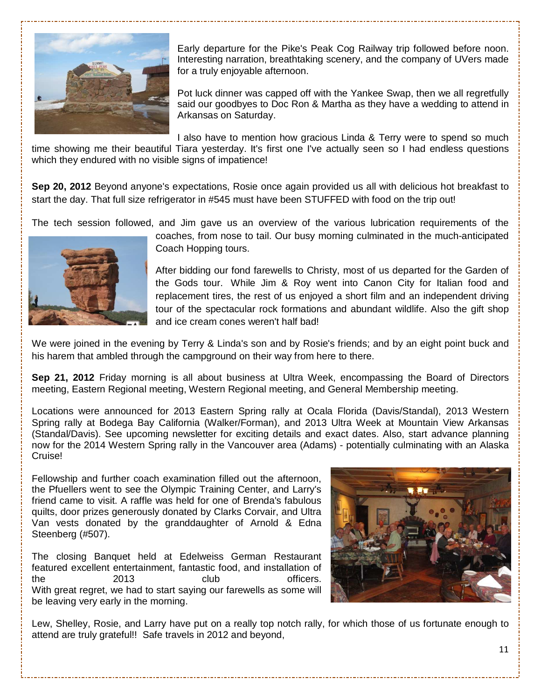

Early departure for the Pike's Peak Cog Railway trip followed before noon. Interesting narration, breathtaking scenery, and the company of UVers made for a truly enjoyable afternoon.

Pot luck dinner was capped off with the Yankee Swap, then we all regretfully said our goodbyes to Doc Ron & Martha as they have a wedding to attend in Arkansas on Saturday.

I also have to mention how gracious Linda & Terry were to spend so much

time showing me their beautiful Tiara yesterday. It's first one I've actually seen so I had endless questions which they endured with no visible signs of impatience!

**Sep 20, 2012** Beyond anyone's expectations, Rosie once again provided us all with delicious hot breakfast to start the day. That full size refrigerator in #545 must have been STUFFED with food on the trip out!

The tech session followed, and Jim gave us an overview of the various lubrication requirements of the



coaches, from nose to tail. Our busy morning culminated in the much-anticipated Coach Hopping tours.

After bidding our fond farewells to Christy, most of us departed for the Garden of the Gods tour. While Jim & Roy went into Canon City for Italian food and replacement tires, the rest of us enjoyed a short film and an independent driving tour of the spectacular rock formations and abundant wildlife. Also the gift shop and ice cream cones weren't half bad!

We were joined in the evening by Terry & Linda's son and by Rosie's friends; and by an eight point buck and his harem that ambled through the campground on their way from here to there.

**Sep 21, 2012** Friday morning is all about business at Ultra Week, encompassing the Board of Directors meeting, Eastern Regional meeting, Western Regional meeting, and General Membership meeting.

Locations were announced for 2013 Eastern Spring rally at Ocala Florida (Davis/Standal), 2013 Western Spring rally at Bodega Bay California (Walker/Forman), and 2013 Ultra Week at Mountain View Arkansas (Standal/Davis). See upcoming newsletter for exciting details and exact dates. Also, start advance planning now for the 2014 Western Spring rally in the Vancouver area (Adams) - potentially culminating with an Alaska Cruise!

Fellowship and further coach examination filled out the afternoon, the Pfuellers went to see the Olympic Training Center, and Larry's friend came to visit. A raffle was held for one of Brenda's fabulous quilts, door prizes generously donated by Clarks Corvair, and Ultra Van vests donated by the granddaughter of Arnold & Edna Steenberg (#507).

The closing Banquet held at Edelweiss German Restaurant featured excellent entertainment, fantastic food, and installation of the 2013 club officers. With great regret, we had to start saying our farewells as some will be leaving very early in the morning.



Lew, Shelley, Rosie, and Larry have put on a really top notch rally, for which those of us fortunate enough to attend are truly grateful!! Safe travels in 2012 and beyond,